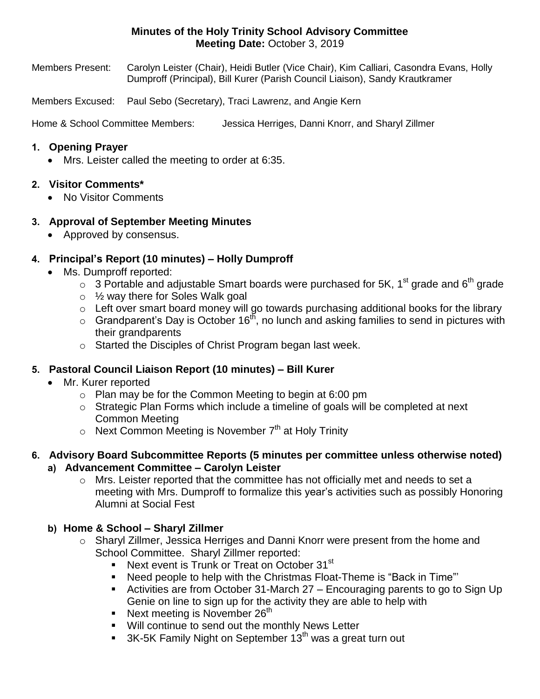## **Minutes of the Holy Trinity School Advisory Committee Meeting Date:** October 3, 2019

Members Present: Carolyn Leister (Chair), Heidi Butler (Vice Chair), Kim Calliari, Casondra Evans, Holly Dumproff (Principal), Bill Kurer (Parish Council Liaison), Sandy Krautkramer

Members Excused: Paul Sebo (Secretary), Traci Lawrenz, and Angie Kern

Home & School Committee Members: Jessica Herriges, Danni Knorr, and Sharyl Zillmer

#### **1. Opening Prayer**

• Mrs. Leister called the meeting to order at 6:35.

### **2. Visitor Comments\***

• No Visitor Comments

### **3. Approval of September Meeting Minutes**

• Approved by consensus.

## **4. Principal's Report (10 minutes) – Holly Dumproff**

- Ms. Dumproff reported:
	- $\circ$  3 Portable and adjustable Smart boards were purchased for 5K, 1<sup>st</sup> grade and 6<sup>th</sup> grade
	- $\circ$  1/<sub>2</sub> way there for Soles Walk goal
	- o Left over smart board money will go towards purchasing additional books for the library
	- $\circ$  Grandparent's Day is October 16<sup>th</sup>, no lunch and asking families to send in pictures with their grandparents
	- o Started the Disciples of Christ Program began last week.

### **5. Pastoral Council Liaison Report (10 minutes) – Bill Kurer**

- Mr. Kurer reported
	- o Plan may be for the Common Meeting to begin at 6:00 pm
	- $\circ$  Strategic Plan Forms which include a timeline of goals will be completed at next Common Meeting
	- $\circ$  Next Common Meeting is November  $7<sup>th</sup>$  at Holy Trinity
- **6. Advisory Board Subcommittee Reports (5 minutes per committee unless otherwise noted) a) Advancement Committee – Carolyn Leister**
	- $\circ$  Mrs. Leister reported that the committee has not officially met and needs to set a meeting with Mrs. Dumproff to formalize this year's activities such as possibly Honoring Alumni at Social Fest

### **b) Home & School – Sharyl Zillmer**

- o Sharyl Zillmer, Jessica Herriges and Danni Knorr were present from the home and School Committee. Sharyl Zillmer reported:
	- Next event is Trunk or Treat on October  $31<sup>st</sup>$
	- Need people to help with the Christmas Float-Theme is "Back in Time"'
	- Activities are from October 31-March 27 Encouraging parents to go to Sign Up Genie on line to sign up for the activity they are able to help with
	- Next meeting is November  $26<sup>th</sup>$
	- **Will continue to send out the monthly News Letter**
	- $\blacksquare$  3K-5K Family Night on September 13<sup>th</sup> was a great turn out